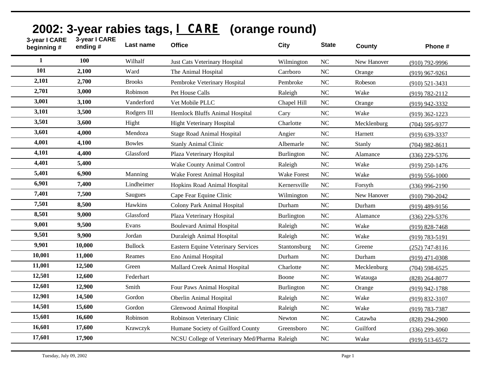| 3-year I CARE<br>beginning # | 3-year I CARE<br>ending# | Last name      | <b>Office</b>                                 | <b>City</b>        | <b>State</b>   | County      | Phone #            |
|------------------------------|--------------------------|----------------|-----------------------------------------------|--------------------|----------------|-------------|--------------------|
| 1                            | 100                      | Wilhalf        | <b>Just Cats Veterinary Hospital</b>          | Wilmington         | <b>NC</b>      | New Hanover | (910) 792-9996     |
| 101                          | 2,100                    | Ward           | The Animal Hospital                           | Carrboro           | N <sub>C</sub> | Orange      | $(919)$ 967-9261   |
| 2,101                        | 2,700                    | <b>Brooks</b>  | Pembroke Veterinary Hospital                  | Pembroke           | <b>NC</b>      | Robeson     | $(910)$ 521-3431   |
| 2,701                        | 3,000                    | Robinson       | Pet House Calls                               | Raleigh            | <b>NC</b>      | Wake        | $(919) 782 - 2112$ |
| 3,001                        | 3,100                    | Vanderford     | Vet Mobile PLLC                               | Chapel Hill        | <b>NC</b>      | Orange      | (919) 942-3332     |
| 3,101                        | 3,500                    | Rodgers III    | Hemlock Bluffs Animal Hospital                | Cary               | <b>NC</b>      | Wake        | $(919)$ 362-1223   |
| 3,501                        | 3,600                    | Hight          | Hight Veterinary Hospital                     | Charlotte          | <b>NC</b>      | Mecklenburg | $(704)$ 595-9377   |
| 3,601                        | 4,000                    | Mendoza        | <b>Stage Road Animal Hospital</b>             | Angier             | <b>NC</b>      | Harnett     | $(919) 639 - 3337$ |
| 4,001                        | 4,100                    | <b>Bowles</b>  | <b>Stanly Animal Clinic</b>                   | Albemarle          | NC             | Stanly      | $(704)$ 982-8611   |
| 4,101                        | 4,400                    | Glassford      | Plaza Veterinary Hospital                     | <b>Burlington</b>  | $\rm NC$       | Alamance    | $(336)$ 229-5376   |
| 4,401                        | 5,400                    |                | Wake County Animal Control                    | Raleigh            | <b>NC</b>      | Wake        | $(919)$ 250-1476   |
| 5,401                        | 6,900                    | Manning        | Wake Forest Animal Hospital                   | <b>Wake Forest</b> | <b>NC</b>      | Wake        | $(919) 556 - 1000$ |
| 6,901                        | 7,400                    | Lindheimer     | Hopkins Road Animal Hospital                  | Kernersville       | <b>NC</b>      | Forsyth     | $(336)$ 996-2190   |
| 7,401                        | 7,500                    | Saugues        | Cape Fear Equine Clinic                       | Wilmington         | <b>NC</b>      | New Hanover | $(910)$ 790-2042   |
| 7,501                        | 8,500                    | Hawkins        | Colony Park Animal Hospital                   | Durham             | <b>NC</b>      | Durham      | $(919)$ 489-9156   |
| 8,501                        | 9,000                    | Glassford      | Plaza Veterinary Hospital                     | <b>Burlington</b>  | <b>NC</b>      | Alamance    | $(336)$ 229-5376   |
| 9,001                        | 9,500                    | Evans          | <b>Boulevard Animal Hospital</b>              | Raleigh            | <b>NC</b>      | Wake        | $(919) 828 - 7468$ |
| 9,501                        | 9,900                    | Jordan         | Duraleigh Animal Hospital                     | Raleigh            | <b>NC</b>      | Wake        | $(919) 783 - 5191$ |
| 9,901                        | 10,000                   | <b>Bullock</b> | <b>Eastern Equine Veterinary Services</b>     | Stantonsburg       | <b>NC</b>      | Greene      | $(252)$ 747-8116   |
| 10,001                       | 11,000                   | Reames         | Eno Animal Hospital                           | Durham             | <b>NC</b>      | Durham      | $(919)$ 471-0308   |
| 11,001                       | 12,500                   | Green          | Mallard Creek Animal Hospital                 | Charlotte          | NC             | Mecklenburg | $(704)$ 598-6525   |
| 12,501                       | 12,600                   | Federhart      |                                               | Boone              | <b>NC</b>      | Watauga     | $(828)$ 264-8077   |
| 12,601                       | 12,900                   | Smith          | Four Paws Animal Hospital                     | <b>Burlington</b>  | <b>NC</b>      | Orange      | (919) 942-1788     |
| 12,901                       | 14,500                   | Gordon         | <b>Oberlin Animal Hospital</b>                | Raleigh            | <b>NC</b>      | Wake        | $(919) 832 - 3107$ |
| 14,501                       | 15,600                   | Gordon         | Glenwood Animal Hospital                      | Raleigh            | <b>NC</b>      | Wake        | (919) 783-7387     |
| 15,601                       | 16,600                   | Robinson       | Robinson Veterinary Clinic                    | Newton             | <b>NC</b>      | Catawba     | (828) 294-2900     |
| 16,601                       | 17,600                   | Krawczyk       | Humane Society of Guilford County             | Greensboro         | <b>NC</b>      | Guilford    | $(336)$ 299-3060   |
| 17,601                       | 17,900                   |                | NCSU College of Veterinary Med/Pharma Raleigh |                    | <b>NC</b>      | Wake        | $(919) 513 - 6572$ |

## **2002: 3-year rabies tags, I CARE (orange round)**